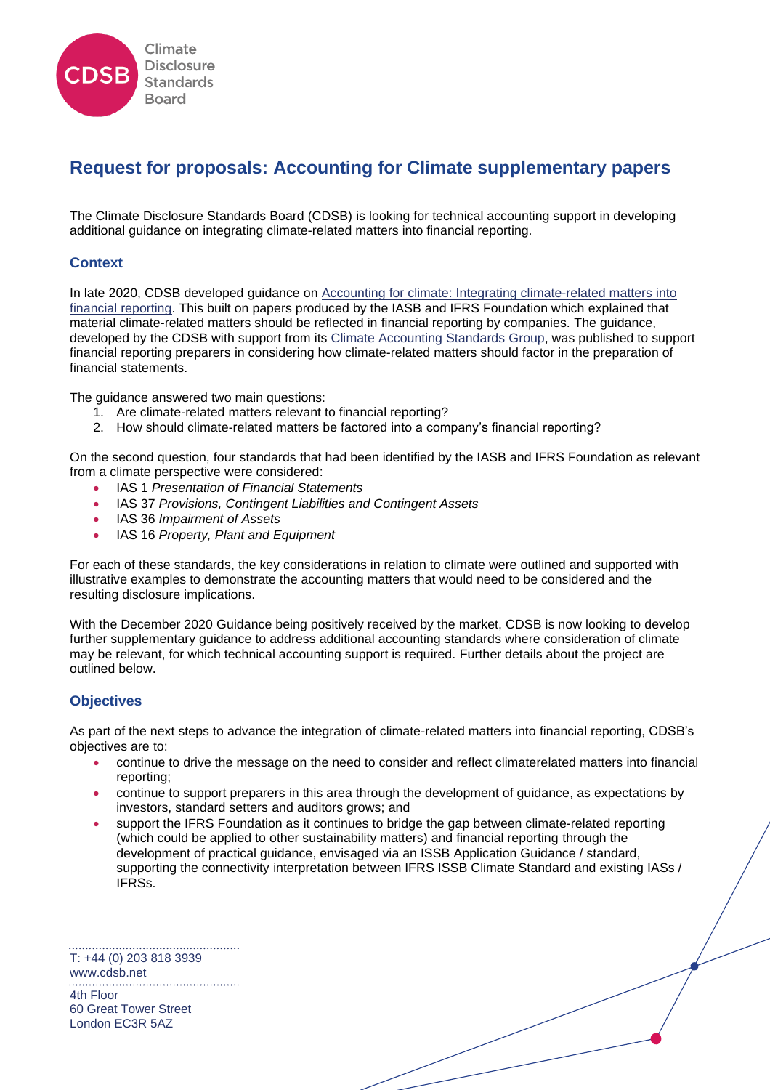

# **Request for proposals: Accounting for Climate supplementary papers**

The Climate Disclosure Standards Board (CDSB) is looking for technical accounting support in developing additional guidance on integrating climate-related matters into financial reporting.

## **Context**

In late 2020, CDSB developed guidance on [Accounting for climate: Integrating climate-related matters into](https://www.cdsb.net/sites/default/files/cdsb_climateaccountingguidance_s_110121.pdf)  [financial reporting.](https://www.cdsb.net/sites/default/files/cdsb_climateaccountingguidance_s_110121.pdf) This built on papers produced by the IASB and IFRS Foundation which explained that material climate-related matters should be reflected in financial reporting by companies. The guidance, developed by the CDSB with support from its [Climate Accounting Standards](https://www.cdsb.net/about-cdsb/technical-working-group/climate-accounting-standards-sub-group#:~:text=The%20Climate%20Accounting%20Standards%20sub%2Dgroup%20has%20been%20set%20up,accounting%20standards%20and%20financial%20reporting.) Group, was published to support financial reporting preparers in considering how climate-related matters should factor in the preparation of financial statements.

The guidance answered two main questions:

- 1. Are climate-related matters relevant to financial reporting?
- 2. How should climate-related matters be factored into a company's financial reporting?

On the second question, four standards that had been identified by the IASB and IFRS Foundation as relevant from a climate perspective were considered:

- IAS 1 *Presentation of Financial Statements*
- IAS 37 *Provisions, Contingent Liabilities and Contingent Assets*
- IAS 36 *Impairment of Assets*
- IAS 16 *Property, Plant and Equipment*

For each of these standards, the key considerations in relation to climate were outlined and supported with illustrative examples to demonstrate the accounting matters that would need to be considered and the resulting disclosure implications.

With the December 2020 Guidance being positively received by the market, CDSB is now looking to develop further supplementary guidance to address additional accounting standards where consideration of climate may be relevant, for which technical accounting support is required. Further details about the project are outlined below.

## **Objectives**

As part of the next steps to advance the integration of climate-related matters into financial reporting, CDSB's objectives are to:

- continue to drive the message on the need to consider and reflect climaterelated matters into financial reporting;
- continue to support preparers in this area through the development of guidance, as expectations by investors, standard setters and auditors grows; and
- support the IFRS Foundation as it continues to bridge the gap between climate-related reporting (which could be applied to other sustainability matters) and financial reporting through the development of practical guidance, envisaged via an ISSB Application Guidance / standard, supporting the connectivity interpretation between IFRS ISSB Climate Standard and existing IASs / IFRSs.

T: +44 (0) 203 818 3939 [www.cdsb.net](http://www.cdsb.net/) 4th Floor 60 Great Tower Street London EC3R 5AZ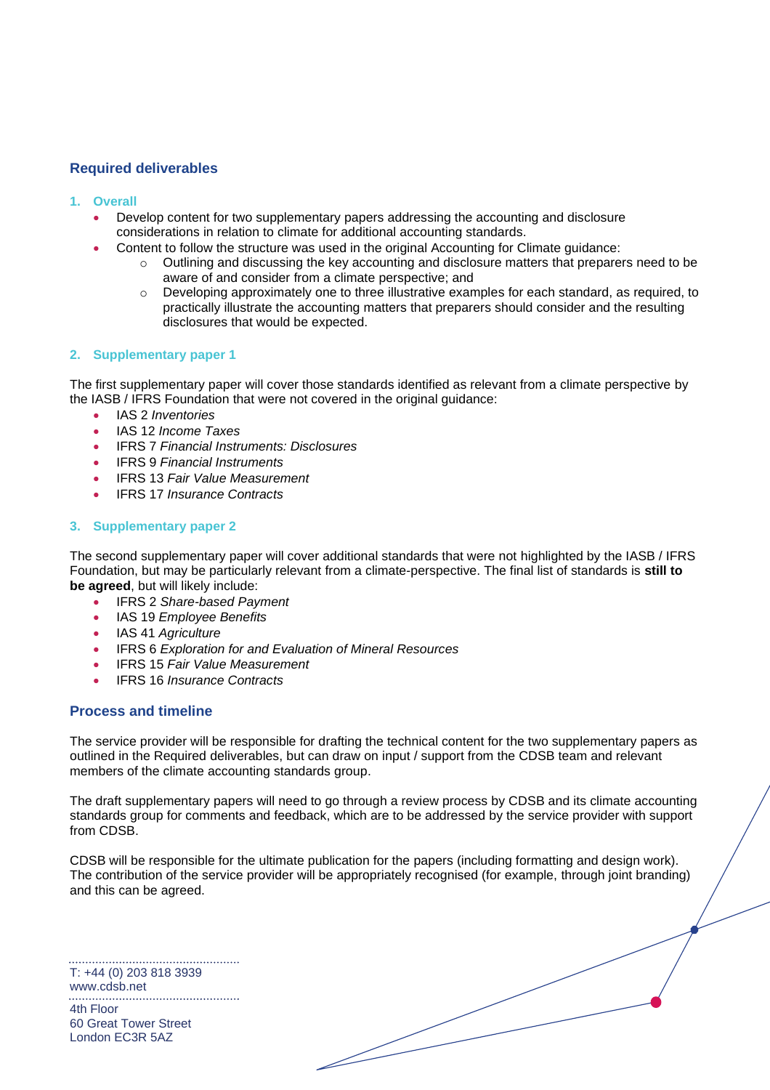# **Required deliverables**

- **1. Overall**
	- Develop content for two supplementary papers addressing the accounting and disclosure considerations in relation to climate for additional accounting standards.
	- Content to follow the structure was used in the original Accounting for Climate guidance:
		- o Outlining and discussing the key accounting and disclosure matters that preparers need to be aware of and consider from a climate perspective; and
		- o Developing approximately one to three illustrative examples for each standard, as required, to practically illustrate the accounting matters that preparers should consider and the resulting disclosures that would be expected.

## **2. Supplementary paper 1**

The first supplementary paper will cover those standards identified as relevant from a climate perspective by the IASB / IFRS Foundation that were not covered in the original guidance:

- IAS 2 *Inventories*
- IAS 12 *Income Taxes*
- IFRS 7 *Financial Instruments: Disclosures*
- IFRS 9 *Financial Instruments*
- IFRS 13 *Fair Value Measurement*
- IFRS 17 *Insurance Contracts*

#### **3. Supplementary paper 2**

The second supplementary paper will cover additional standards that were not highlighted by the IASB / IFRS Foundation, but may be particularly relevant from a climate-perspective. The final list of standards is **still to be agreed**, but will likely include:

- IFRS 2 *Share-based Payment*
- IAS 19 *Employee Benefits*
- IAS 41 *Agriculture*
- IFRS 6 *Exploration for and Evaluation of Mineral Resources*
- IFRS 15 *Fair Value Measurement*
- IFRS 16 *Insurance Contracts*

## **Process and timeline**

The service provider will be responsible for drafting the technical content for the two supplementary papers as outlined in the Required deliverables, but can draw on input / support from the CDSB team and relevant members of the climate accounting standards group.

The draft supplementary papers will need to go through a review process by CDSB and its climate accounting standards group for comments and feedback, which are to be addressed by the service provider with support from CDSB.

CDSB will be responsible for the ultimate publication for the papers (including formatting and design work). The contribution of the service provider will be appropriately recognised (for example, through joint branding) and this can be agreed.